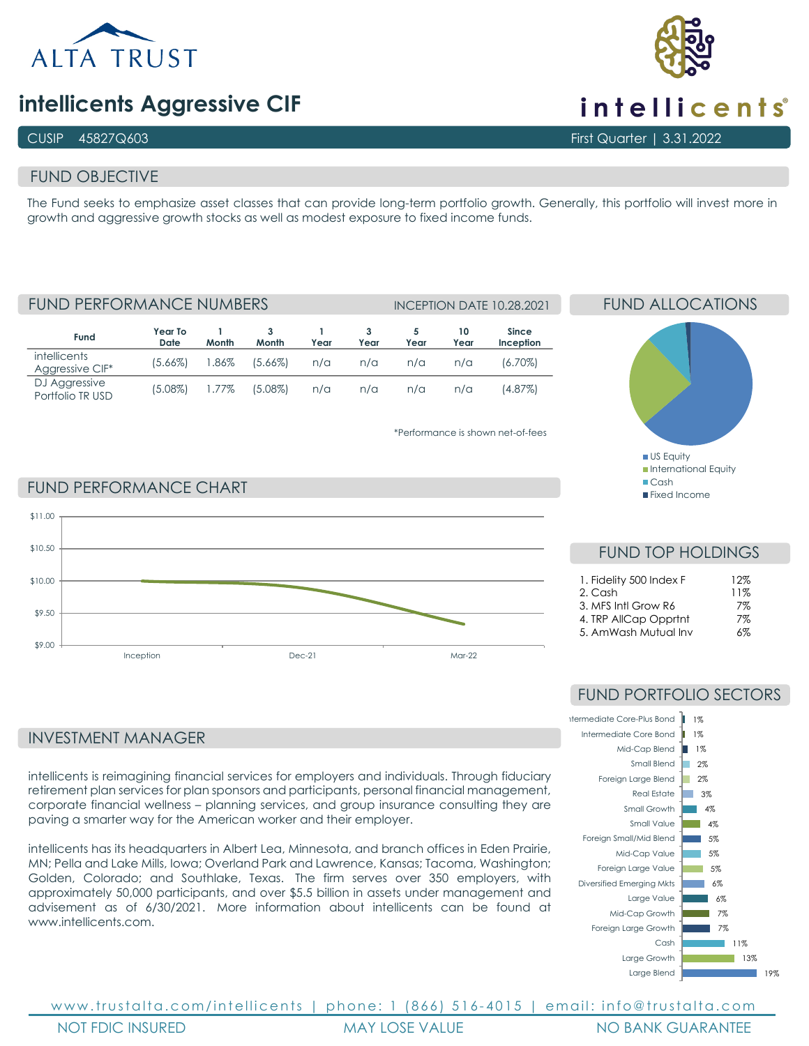

# **intellicents Aggressive CIF**

## CUSIP 45827Q603 First Quarter | 3.31.2022

# FUND OBJECTIVE

The Fund seeks to emphasize asset classes that can provide long-term portfolio growth. Generally, this portfolio will invest more in growth and aggressive growth stocks as well as modest exposure to fixed income funds.

FUND PERFORMANCE NUMBERS INCEPTION DATE 10.28.2021

| Fund                                   | Year To<br>Date | Month    | Month      | Year | Year | Year | 10<br>Year | <b>Since</b><br>Inception |
|----------------------------------------|-----------------|----------|------------|------|------|------|------------|---------------------------|
| <i>intellicents</i><br>Aggressive CIF* | $(5.66\%)$      | 1.86%    | $(5.66\%)$ | n/a  | n/a  | n/a  | n/a        | (6.70%)                   |
| DJ Aggressive<br>Portfolio TR USD      | (5.08%)         | $1.77\%$ | $(5.08\%)$ | n/a  | n/a  | n/a  | n/a        | (4.87%)                   |

\*Performance is shown net-of-fees

**US Equity International Equity** ■Cash **Fixed Income** 

FUND ALLOCATIONS

FUND PERFORMANCE CHART



FUND TOP HOLDINGS

| 1. Fidelity 500 Index F | 12% |
|-------------------------|-----|
| 2. Cash                 | 11% |
| 3. MFS Intl Grow R6     | 7%  |
| 4. TRP AllCap Opprtnt   | 7%  |
| 5. AmWash Mutual Inv    | 6%  |

# INVESTMENT MANAGER

intellicents is reimagining financial services for employers and individuals. Through fiduciary retirement plan services for plan sponsors and participants, personal financial management, corporate financial wellness – planning services, and group insurance consulting they are paving a smarter way for the American worker and their employer.

intellicents has its headquarters in Albert Lea, Minnesota, and branch offices in Eden Prairie, MN; Pella and Lake Mills, Iowa; Overland Park and Lawrence, Kansas; Tacoma, Washington; Golden, Colorado; and Southlake, Texas. The firm serves over 350 employers, with approximately 50,000 participants, and over \$5.5 billion in assets under management and advisement as of 6/30/2021. More information about intellicents can be found at [www.intellicents.com.](https://nam02.safelinks.protection.outlook.com/?url=http%3A%2F%2Fwww.intellicents.com%2F&data=04%7C01%7Cldrost%40trustalta.com%7C64143621632c436c80a908d994bef4e3%7Cb9ee5cab444743df8ae7848331cbe44f%7C0%7C0%7C637704370132112765%7CUnknown%7CTWFpbGZsb3d8eyJWIjoiMC4wLjAwMDAiLCJQIjoiV2luMzIiLCJBTiI6Ik1haWwiLCJXVCI6Mn0%3D%7C1000&sdata=ixFoO0gafYZG6wKaNB2%2FP8VTzpX9Y%2BOH4nuegW9idSA%3D&reserved=0)

# FUND PORTFOLIO SECTORS



www.trustalta.com/ intellicents | phone: 1 (866) 516 - 4015 | email: info@trustalta.com NOT FDIC INSURED MAY LOSE VALUE NO BANK GUARANTEE